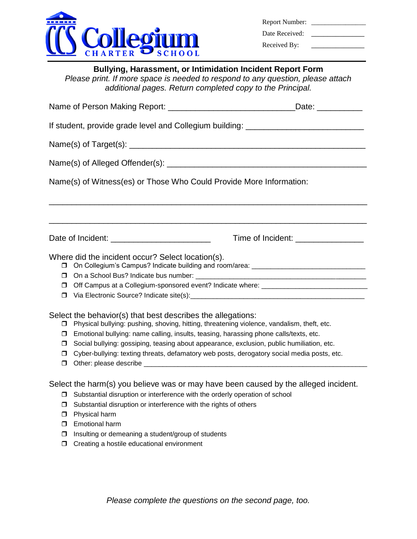

| <b>Report Number:</b> |  |
|-----------------------|--|
| Date Received:        |  |

Received By: \_\_\_\_\_\_\_\_\_\_\_\_\_

|  | <b>Bullying, Harassment, or Intimidation Incident Report Form</b>        |  |
|--|--------------------------------------------------------------------------|--|
|  | as public of means appear to meaded to means ad to any quickless, please |  |

*Please print. If more space is needed to respond to any question, please attach additional pages. Return completed copy to the Principal.*

| If student, provide grade level and Collegium building: ________________________ |                                                                                                                                                                                                                                                                                                                                                                                                                                               |                                               |  |  |  |  |  |
|----------------------------------------------------------------------------------|-----------------------------------------------------------------------------------------------------------------------------------------------------------------------------------------------------------------------------------------------------------------------------------------------------------------------------------------------------------------------------------------------------------------------------------------------|-----------------------------------------------|--|--|--|--|--|
|                                                                                  |                                                                                                                                                                                                                                                                                                                                                                                                                                               |                                               |  |  |  |  |  |
|                                                                                  |                                                                                                                                                                                                                                                                                                                                                                                                                                               |                                               |  |  |  |  |  |
| Name(s) of Witness(es) or Those Who Could Provide More Information:              |                                                                                                                                                                                                                                                                                                                                                                                                                                               |                                               |  |  |  |  |  |
|                                                                                  |                                                                                                                                                                                                                                                                                                                                                                                                                                               |                                               |  |  |  |  |  |
|                                                                                  |                                                                                                                                                                                                                                                                                                                                                                                                                                               | Time of Incident: <u>______________</u> _____ |  |  |  |  |  |
| $\Box$<br>□<br>□                                                                 | Where did the incident occur? Select location(s).<br>On Collegium's Campus? Indicate building and room/area: ________________________                                                                                                                                                                                                                                                                                                         |                                               |  |  |  |  |  |
| $\Box$<br>σ.<br>0<br>$\Box$<br>$\Box$                                            | Select the behavior(s) that best describes the allegations:<br>Physical bullying: pushing, shoving, hitting, threatening violence, vandalism, theft, etc.<br>Emotional bullying: name calling, insults, teasing, harassing phone calls/texts, etc.<br>Social bullying: gossiping, teasing about appearance, exclusion, public humiliation, etc.<br>Cyber-bullying: texting threats, defamatory web posts, derogatory social media posts, etc. |                                               |  |  |  |  |  |
| Ω.<br>$\Box$<br>$\Box$<br>$\Box$<br>$\Box$                                       | Select the harm(s) you believe was or may have been caused by the alleged incident.<br>Substantial disruption or interference with the orderly operation of school<br>Substantial disruption or interference with the rights of others<br>Physical harm<br><b>Emotional harm</b><br>Insulting or demeaning a student/group of students                                                                                                        |                                               |  |  |  |  |  |

**D** Creating a hostile educational environment